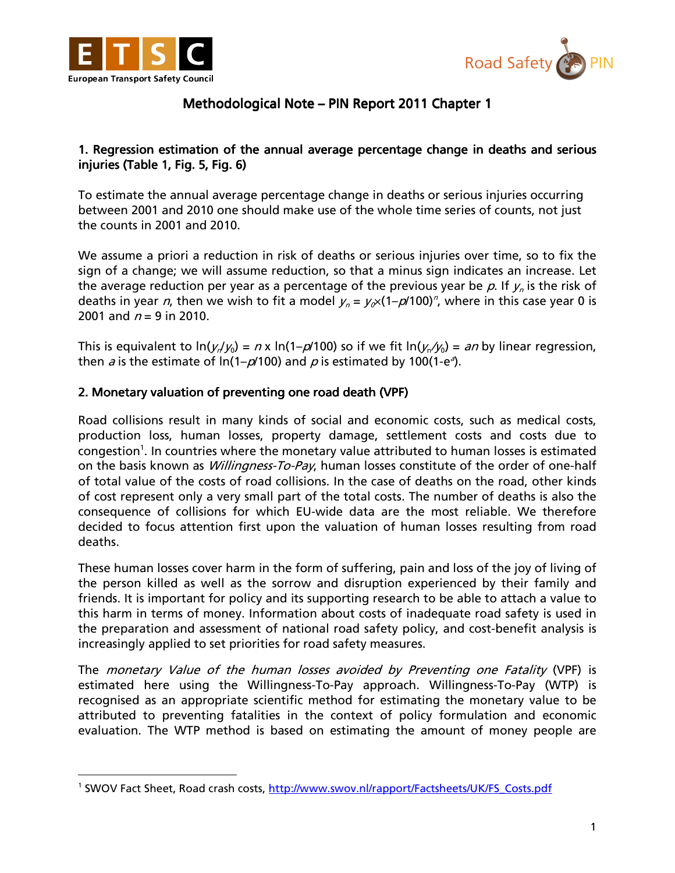

l



# Methodological Note – PIN Report 2011 Chapter 1

### 1. Regression estimation of the annual average percentage change in deaths and serious injuries (Table 1, Fig. 5, Fig. 6)

To estimate the annual average percentage change in deaths or serious injuries occurring between 2001 and 2010 one should make use of the whole time series of counts, not just the counts in 2001 and 2010.

We assume a priori a reduction in risk of deaths or serious injuries over time, so to fix the sign of a change; we will assume reduction, so that a minus sign indicates an increase. Let the average reduction per year as a percentage of the previous year be  $\rho$ . If  $y_n$  is the risk of deaths in year *n*, then we wish to fit a model  $y_n = y_{\alpha} \times (1 - \rho/100)^n$ , where in this case year 0 is 2001 and  $n = 9$  in 2010.

This is equivalent to ln(y,/y<sub>0</sub>) = n x ln(1–p/100) so if we fit ln(y<sub>n</sub>/y<sub>0</sub>) = an by linear regression, then *a* is the estimate of ln(1– $\rho$ /100) and  $\rho$  is estimated by 100(1-e<sup>3</sup>).

#### 2. Monetary valuation of preventing one road death (VPF)

Road collisions result in many kinds of social and economic costs, such as medical costs, production loss, human losses, property damage, settlement costs and costs due to congestion<sup>1</sup>. In countries where the monetary value attributed to human losses is estimated on the basis known as *Willingness-To-Pay*, human losses constitute of the order of one-half of total value of the costs of road collisions. In the case of deaths on the road, other kinds of cost represent only a very small part of the total costs. The number of deaths is also the consequence of collisions for which EU-wide data are the most reliable. We therefore decided to focus attention first upon the valuation of human losses resulting from road deaths.

These human losses cover harm in the form of suffering, pain and loss of the joy of living of the person killed as well as the sorrow and disruption experienced by their family and friends. It is important for policy and its supporting research to be able to attach a value to this harm in terms of money. Information about costs of inadequate road safety is used in the preparation and assessment of national road safety policy, and cost-benefit analysis is increasingly applied to set priorities for road safety measures.

The monetary Value of the human losses avoided by Preventing one Fatality (VPF) is estimated here using the Willingness-To-Pay approach. Willingness-To-Pay (WTP) is recognised as an appropriate scientific method for estimating the monetary value to be attributed to preventing fatalities in the context of policy formulation and economic evaluation. The WTP method is based on estimating the amount of money people are

<sup>&</sup>lt;sup>1</sup> SWOV Fact Sheet, Road crash costs, http://www.swov.nl/rapport/Factsheets/UK/FS\_Costs.pdf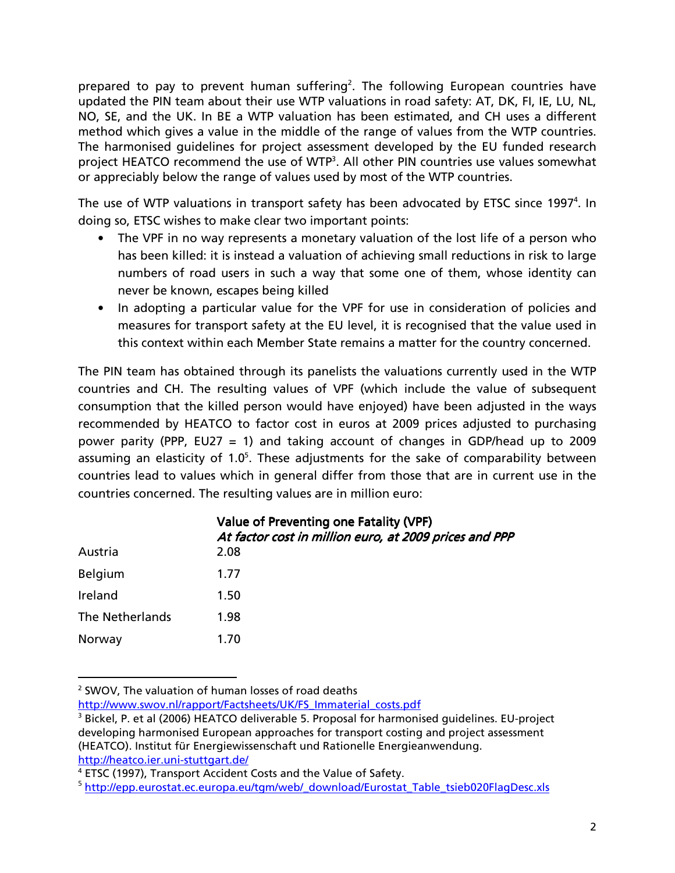prepared to pay to prevent human suffering<sup>2</sup>. The following European countries have updated the PIN team about their use WTP valuations in road safety: AT, DK, FI, IE, LU, NL, NO, SE, and the UK. In BE a WTP valuation has been estimated, and CH uses a different method which gives a value in the middle of the range of values from the WTP countries. The harmonised guidelines for project assessment developed by the EU funded research project HEATCO recommend the use of WTP<sup>3</sup>. All other PIN countries use values somewhat or appreciably below the range of values used by most of the WTP countries.

The use of WTP valuations in transport safety has been advocated by ETSC since 1997<sup>4</sup>. In doing so, ETSC wishes to make clear two important points:

- The VPF in no way represents a monetary valuation of the lost life of a person who has been killed: it is instead a valuation of achieving small reductions in risk to large numbers of road users in such a way that some one of them, whose identity can never be known, escapes being killed
- In adopting a particular value for the VPF for use in consideration of policies and measures for transport safety at the EU level, it is recognised that the value used in this context within each Member State remains a matter for the country concerned.

The PIN team has obtained through its panelists the valuations currently used in the WTP countries and CH. The resulting values of VPF (which include the value of subsequent consumption that the killed person would have enjoyed) have been adjusted in the ways recommended by HEATCO to factor cost in euros at 2009 prices adjusted to purchasing power parity (PPP, EU27 = 1) and taking account of changes in GDP/head up to 2009 assuming an elasticity of  $1.0<sup>5</sup>$ . These adjustments for the sake of comparability between countries lead to values which in general differ from those that are in current use in the countries concerned. The resulting values are in million euro:

| Value of Preventing one Fatality (VPF)<br>At factor cost in million euro, at 2009 prices and PPP |
|--------------------------------------------------------------------------------------------------|
| 2.08                                                                                             |
| 1.77                                                                                             |
| 1.50                                                                                             |
| 1.98                                                                                             |
| 1.70                                                                                             |
|                                                                                                  |

<sup>&</sup>lt;sup>2</sup> SWOV, The valuation of human losses of road deaths

l

http://www.swov.nl/rapport/Factsheets/UK/FS\_Immaterial\_costs.pdf

<sup>&</sup>lt;sup>3</sup> Bickel, P. et al (2006) HEATCO deliverable 5. Proposal for harmonised guidelines. EU-project developing harmonised European approaches for transport costing and project assessment (HEATCO). Institut für Energiewissenschaft und Rationelle Energieanwendung. http://heatco.ier.uni-stuttgart.de/

<sup>4</sup> ETSC (1997), Transport Accident Costs and the Value of Safety.

<sup>&</sup>lt;sup>5</sup>http://epp.eurostat.ec.europa.eu/tgm/web/\_download/Eurostat\_Table\_tsieb020FlagDesc.xls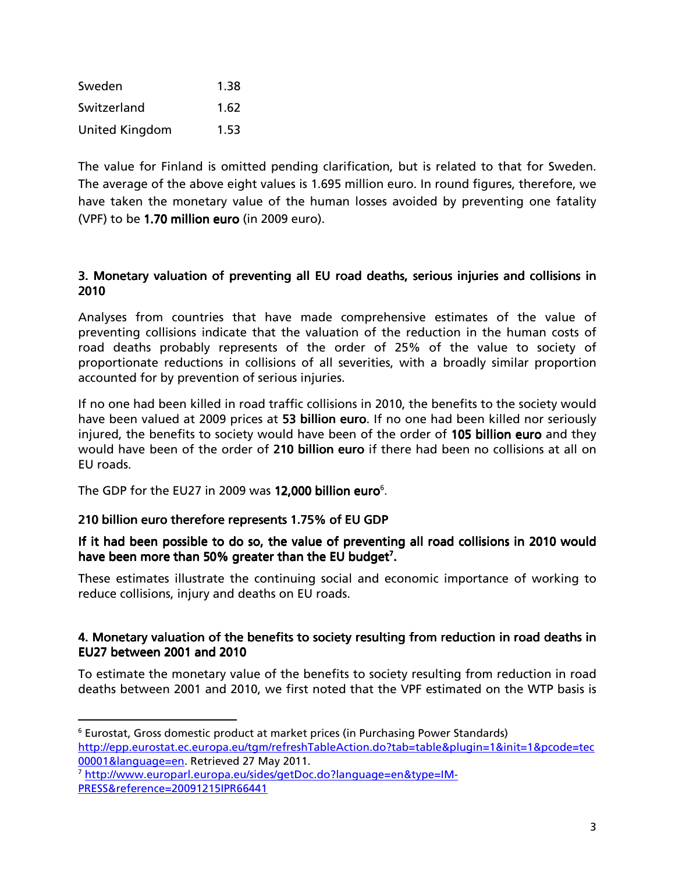| Sweden                | 1.38 |
|-----------------------|------|
| Switzerland           | 1.62 |
| <b>United Kingdom</b> | 1.53 |

The value for Finland is omitted pending clarification, but is related to that for Sweden. The average of the above eight values is 1.695 million euro. In round figures, therefore, we have taken the monetary value of the human losses avoided by preventing one fatality (VPF) to be  $1.70$  million euro (in 2009 euro).

### 3. Monetary valuation of preventing all EU road deaths, serious injuries and collisions in 2010

Analyses from countries that have made comprehensive estimates of the value of preventing collisions indicate that the valuation of the reduction in the human costs of road deaths probably represents of the order of 25% of the value to society of proportionate reductions in collisions of all severities, with a broadly similar proportion accounted for by prevention of serious injuries.

If no one had been killed in road traffic collisions in 2010, the benefits to the society would have been valued at 2009 prices at 53 billion euro. If no one had been killed nor seriously injured, the benefits to society would have been of the order of 105 billion euro and they would have been of the order of 210 billion euro if there had been no collisions at all on EU roads.

The GDP for the EU27 in 2009 was 12,000 billion euro<sup>6</sup>.

### 210 billion euro therefore represents 1.75% of EU GDP

 $\overline{a}$ 

### If it had been possible to do so, the value of preventing all road collisions in 2010 would have been more than 50% greater than the EU budget<sup>7</sup>.

These estimates illustrate the continuing social and economic importance of working to reduce collisions, injury and deaths on EU roads.

#### 4. Monetary valuation of the benefits to society resulting from reduction in road deaths in EU27 between  $2001$  and  $2010$

To estimate the monetary value of the benefits to society resulting from reduction in road deaths between 2001 and 2010, we first noted that the VPF estimated on the WTP basis is

<sup>&</sup>lt;sup>6</sup> Eurostat, Gross domestic product at market prices (in Purchasing Power Standards) http://epp.eurostat.ec.europa.eu/tgm/refreshTableAction.do?tab=table&plugin=1&init=1&pcode=tec 00001&language=en. Retrieved 27 May 2011.

<sup>7</sup> http://www.europarl.europa.eu/sides/getDoc.do?language=en&type=IM-PRESS&reference=20091215IPR66441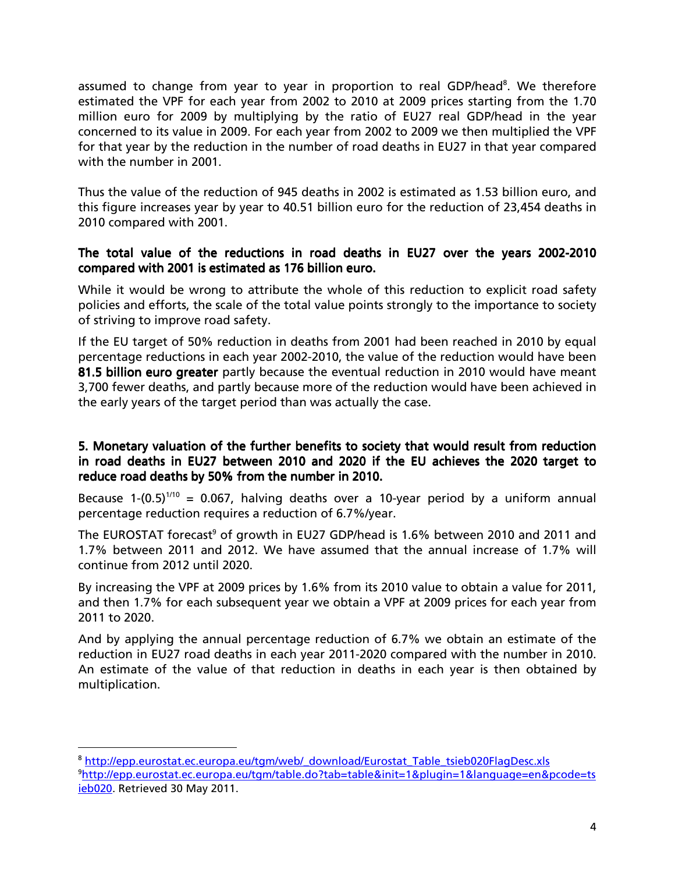assumed to change from year to year in proportion to real GDP/head<sup>8</sup>. We therefore estimated the VPF for each year from 2002 to 2010 at 2009 prices starting from the 1.70 million euro for 2009 by multiplying by the ratio of EU27 real GDP/head in the year concerned to its value in 2009. For each year from 2002 to 2009 we then multiplied the VPF for that year by the reduction in the number of road deaths in EU27 in that year compared with the number in 2001.

Thus the value of the reduction of 945 deaths in 2002 is estimated as 1.53 billion euro, and this figure increases year by year to 40.51 billion euro for the reduction of 23,454 deaths in 2010 compared with 2001.

### The total value of the reductions in road deaths in EU27 over the years 2002-2010 compared with 2001 is estimated as 176 billion euro.

While it would be wrong to attribute the whole of this reduction to explicit road safety policies and efforts, the scale of the total value points strongly to the importance to society of striving to improve road safety.

If the EU target of 50% reduction in deaths from 2001 had been reached in 2010 by equal percentage reductions in each year 2002-2010, the value of the reduction would have been 81.5 billion euro greater partly because the eventual reduction in 2010 would have meant 3,700 fewer deaths, and partly because more of the reduction would have been achieved in the early years of the target period than was actually the case.

#### 5. Monetary valuation of the further benefits to society that would result from reduction in road deaths in EU27 between 2010 and 2020 if the EU achieves the 2020 target to reduce road deaths by 50% from the number in 2010.

Because 1- $(0.5)^{1/10}$  = 0.067, halving deaths over a 10-year period by a uniform annual percentage reduction requires a reduction of 6.7%/year.

The EUROSTAT forecast<sup>9</sup> of growth in EU27 GDP/head is 1.6% between 2010 and 2011 and 1.7% between 2011 and 2012. We have assumed that the annual increase of 1.7% will continue from 2012 until 2020.

By increasing the VPF at 2009 prices by 1.6% from its 2010 value to obtain a value for 2011, and then 1.7% for each subsequent year we obtain a VPF at 2009 prices for each year from 2011 to 2020.

And by applying the annual percentage reduction of 6.7% we obtain an estimate of the reduction in EU27 road deaths in each year 2011-2020 compared with the number in 2010. An estimate of the value of that reduction in deaths in each year is then obtained by multiplication.

 $\overline{a}$ 

<sup>&</sup>lt;sup>8</sup> http://epp.eurostat.ec.europa.eu/tgm/web/\_download/Eurostat\_Table\_tsieb020FlagDesc.xls <sup>9</sup>http://epp.eurostat.ec.europa.eu/tgm/table.do?tab=table&init=1&plugin=1&language=en&pcode=ts ieb020. Retrieved 30 May 2011.